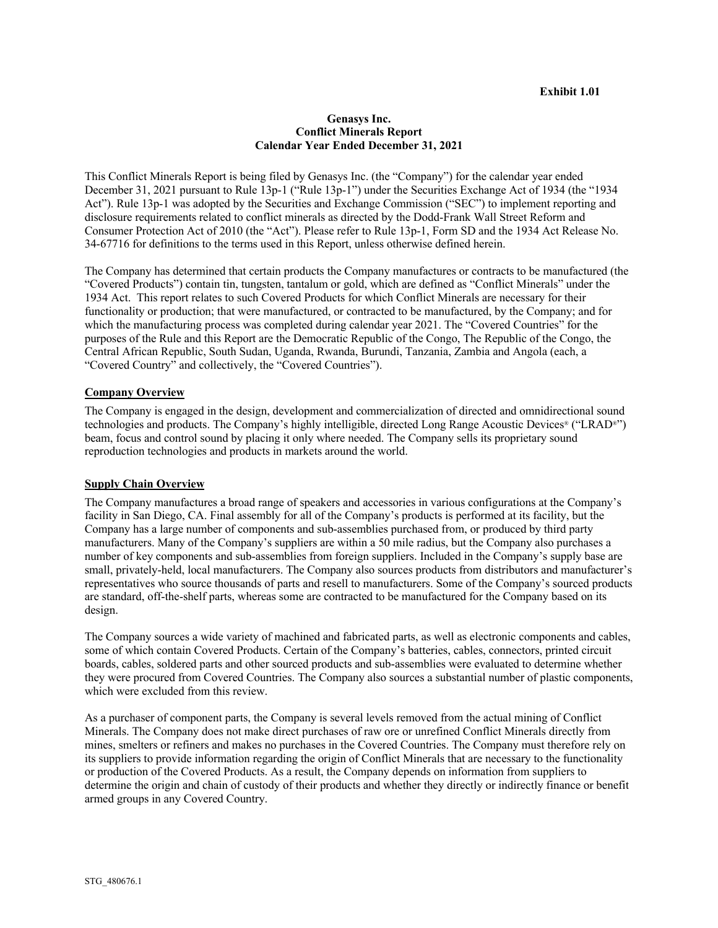### **Genasys Inc. Conflict Minerals Report Calendar Year Ended December 31, 2021**

This Conflict Minerals Report is being filed by Genasys Inc. (the "Company") for the calendar year ended December 31, 2021 pursuant to Rule 13p-1 ("Rule 13p-1") under the Securities Exchange Act of 1934 (the "1934 Act"). Rule 13p-1 was adopted by the Securities and Exchange Commission ("SEC") to implement reporting and disclosure requirements related to conflict minerals as directed by the Dodd-Frank Wall Street Reform and Consumer Protection Act of 2010 (the "Act"). Please refer to Rule 13p-1, Form SD and the 1934 Act Release No. 34-67716 for definitions to the terms used in this Report, unless otherwise defined herein.

The Company has determined that certain products the Company manufactures or contracts to be manufactured (the "Covered Products") contain tin, tungsten, tantalum or gold, which are defined as "Conflict Minerals" under the 1934 Act. This report relates to such Covered Products for which Conflict Minerals are necessary for their functionality or production; that were manufactured, or contracted to be manufactured, by the Company; and for which the manufacturing process was completed during calendar year 2021. The "Covered Countries" for the purposes of the Rule and this Report are the Democratic Republic of the Congo, The Republic of the Congo, the Central African Republic, South Sudan, Uganda, Rwanda, Burundi, Tanzania, Zambia and Angola (each, a "Covered Country" and collectively, the "Covered Countries").

# **Company Overview**

The Company is engaged in the design, development and commercialization of directed and omnidirectional sound technologies and products. The Company's highly intelligible, directed Long Range Acoustic Devices® ("LRAD®") beam, focus and control sound by placing it only where needed. The Company sells its proprietary sound reproduction technologies and products in markets around the world.

# **Supply Chain Overview**

The Company manufactures a broad range of speakers and accessories in various configurations at the Company's facility in San Diego, CA. Final assembly for all of the Company's products is performed at its facility, but the Company has a large number of components and sub-assemblies purchased from, or produced by third party manufacturers. Many of the Company's suppliers are within a 50 mile radius, but the Company also purchases a number of key components and sub-assemblies from foreign suppliers. Included in the Company's supply base are small, privately-held, local manufacturers. The Company also sources products from distributors and manufacturer's representatives who source thousands of parts and resell to manufacturers. Some of the Company's sourced products are standard, off-the-shelf parts, whereas some are contracted to be manufactured for the Company based on its design.

The Company sources a wide variety of machined and fabricated parts, as well as electronic components and cables, some of which contain Covered Products. Certain of the Company's batteries, cables, connectors, printed circuit boards, cables, soldered parts and other sourced products and sub-assemblies were evaluated to determine whether they were procured from Covered Countries. The Company also sources a substantial number of plastic components, which were excluded from this review.

As a purchaser of component parts, the Company is several levels removed from the actual mining of Conflict Minerals. The Company does not make direct purchases of raw ore or unrefined Conflict Minerals directly from mines, smelters or refiners and makes no purchases in the Covered Countries. The Company must therefore rely on its suppliers to provide information regarding the origin of Conflict Minerals that are necessary to the functionality or production of the Covered Products. As a result, the Company depends on information from suppliers to determine the origin and chain of custody of their products and whether they directly or indirectly finance or benefit armed groups in any Covered Country.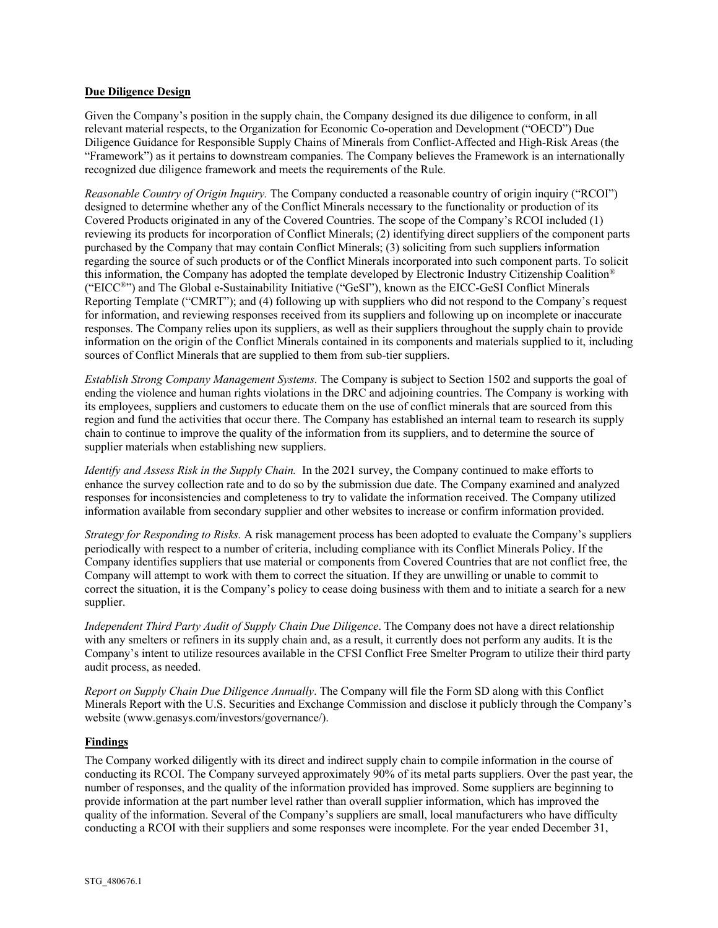### **Due Diligence Design**

Given the Company's position in the supply chain, the Company designed its due diligence to conform, in all relevant material respects, to the Organization for Economic Co-operation and Development ("OECD") Due Diligence Guidance for Responsible Supply Chains of Minerals from Conflict-Affected and High-Risk Areas (the "Framework") as it pertains to downstream companies. The Company believes the Framework is an internationally recognized due diligence framework and meets the requirements of the Rule.

*Reasonable Country of Origin Inquiry.* The Company conducted a reasonable country of origin inquiry ("RCOI") designed to determine whether any of the Conflict Minerals necessary to the functionality or production of its Covered Products originated in any of the Covered Countries. The scope of the Company's RCOI included (1) reviewing its products for incorporation of Conflict Minerals; (2) identifying direct suppliers of the component parts purchased by the Company that may contain Conflict Minerals; (3) soliciting from such suppliers information regarding the source of such products or of the Conflict Minerals incorporated into such component parts. To solicit this information, the Company has adopted the template developed by Electronic Industry Citizenship Coalition® ("EICC®") and The Global e-Sustainability Initiative ("GeSI"), known as the EICC-GeSI Conflict Minerals Reporting Template ("CMRT"); and (4) following up with suppliers who did not respond to the Company's request for information, and reviewing responses received from its suppliers and following up on incomplete or inaccurate responses. The Company relies upon its suppliers, as well as their suppliers throughout the supply chain to provide information on the origin of the Conflict Minerals contained in its components and materials supplied to it, including sources of Conflict Minerals that are supplied to them from sub-tier suppliers.

*Establish Strong Company Management Systems.* The Company is subject to Section 1502 and supports the goal of ending the violence and human rights violations in the DRC and adjoining countries. The Company is working with its employees, suppliers and customers to educate them on the use of conflict minerals that are sourced from this region and fund the activities that occur there. The Company has established an internal team to research its supply chain to continue to improve the quality of the information from its suppliers, and to determine the source of supplier materials when establishing new suppliers.

*Identify and Assess Risk in the Supply Chain.* In the 2021 survey, the Company continued to make efforts to enhance the survey collection rate and to do so by the submission due date. The Company examined and analyzed responses for inconsistencies and completeness to try to validate the information received. The Company utilized information available from secondary supplier and other websites to increase or confirm information provided.

*Strategy for Responding to Risks.* A risk management process has been adopted to evaluate the Company's suppliers periodically with respect to a number of criteria, including compliance with its Conflict Minerals Policy. If the Company identifies suppliers that use material or components from Covered Countries that are not conflict free, the Company will attempt to work with them to correct the situation. If they are unwilling or unable to commit to correct the situation, it is the Company's policy to cease doing business with them and to initiate a search for a new supplier.

*Independent Third Party Audit of Supply Chain Due Diligence*. The Company does not have a direct relationship with any smelters or refiners in its supply chain and, as a result, it currently does not perform any audits. It is the Company's intent to utilize resources available in the CFSI Conflict Free Smelter Program to utilize their third party audit process, as needed.

*Report on Supply Chain Due Diligence Annually*. The Company will file the Form SD along with this Conflict Minerals Report with the U.S. Securities and Exchange Commission and disclose it publicly through the Company's website (www.genasys.com/investors/governance/).

# **Findings**

The Company worked diligently with its direct and indirect supply chain to compile information in the course of conducting its RCOI. The Company surveyed approximately 90% of its metal parts suppliers. Over the past year, the number of responses, and the quality of the information provided has improved. Some suppliers are beginning to provide information at the part number level rather than overall supplier information, which has improved the quality of the information. Several of the Company's suppliers are small, local manufacturers who have difficulty conducting a RCOI with their suppliers and some responses were incomplete. For the year ended December 31,